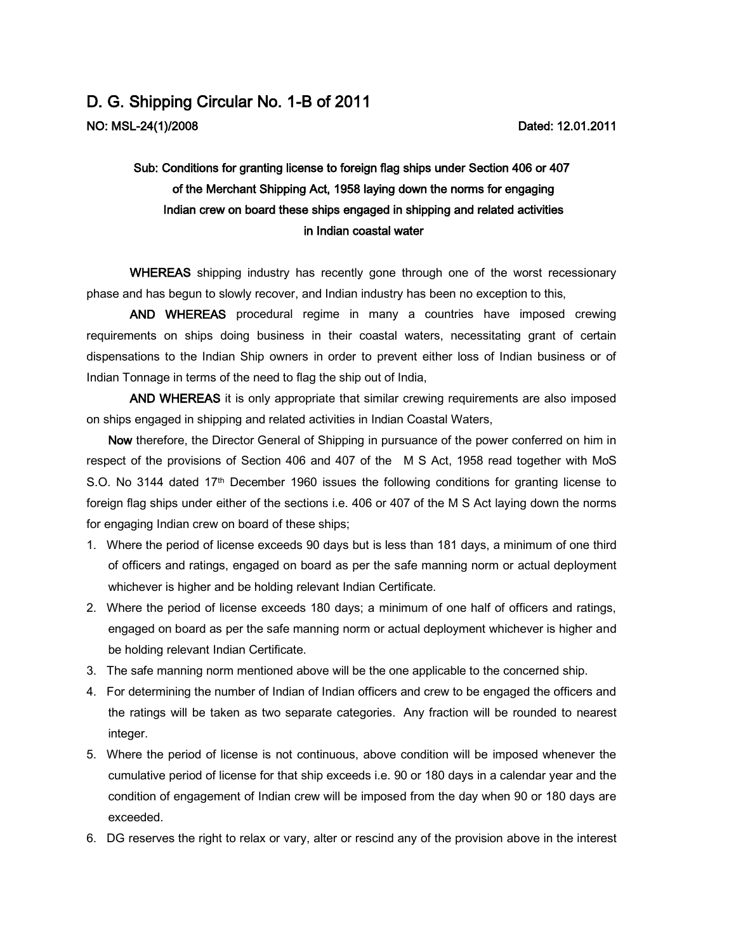## D. G. Shipping Circular No. 1-B of 2011 NO: MSL-24(1)/2008

## Sub: Conditions for granting license to foreign flag ships under Section 406 or 407 of the Merchant Shipping Act, 1958 laying down the norms for engaging Indian crew on board these ships engaged in shipping and related activities in Indian coastal water

WHEREAS shipping industry has recently gone through one of the worst recessionary phase and has begun to slowly recover, and Indian industry has been no exception to this,

AND WHEREAS procedural regime in many a countries have imposed crewing requirements on ships doing business in their coastal waters, necessitating grant of certain dispensations to the Indian Ship owners in order to prevent either loss of Indian business or of Indian Tonnage in terms of the need to flag the ship out of India,

AND WHEREAS it is only appropriate that similar crewing requirements are also imposed on ships engaged in shipping and related activities in Indian Coastal Waters,

Now therefore, the Director General of Shipping in pursuance of the power conferred on him in respect of the provisions of Section 406 and 407 of the M S Act, 1958 read together with MoS S.O. No 3144 dated 17<sup>th</sup> December 1960 issues the following conditions for granting license to foreign flag ships under either of the sections i.e. 406 or 407 of the M S Act laying down the norms for engaging Indian crew on board of these ships;

- 1. Where the period of license exceeds 90 days but is less than 181 days, a minimum of one third of officers and ratings, engaged on board as per the safe manning norm or actual deployment whichever is higher and be holding relevant Indian Certificate.
- 2. Where the period of license exceeds 180 days; a minimum of one half of officers and ratings, engaged on board as per the safe manning norm or actual deployment whichever is higher and be holding relevant Indian Certificate.
- 3. The safe manning norm mentioned above will be the one applicable to the concerned ship.
- 4. For determining the number of Indian of Indian officers and crew to be engaged the officers and the ratings will be taken as two separate categories. Any fraction will be rounded to nearest integer.
- 5. Where the period of license is not continuous, above condition will be imposed whenever the cumulative period of license for that ship exceeds i.e. 90 or 180 days in a calendar year and the condition of engagement of Indian crew will be imposed from the day when 90 or 180 days are exceeded.
- 6. DG reserves the right to relax or vary, alter or rescind any of the provision above in the interest